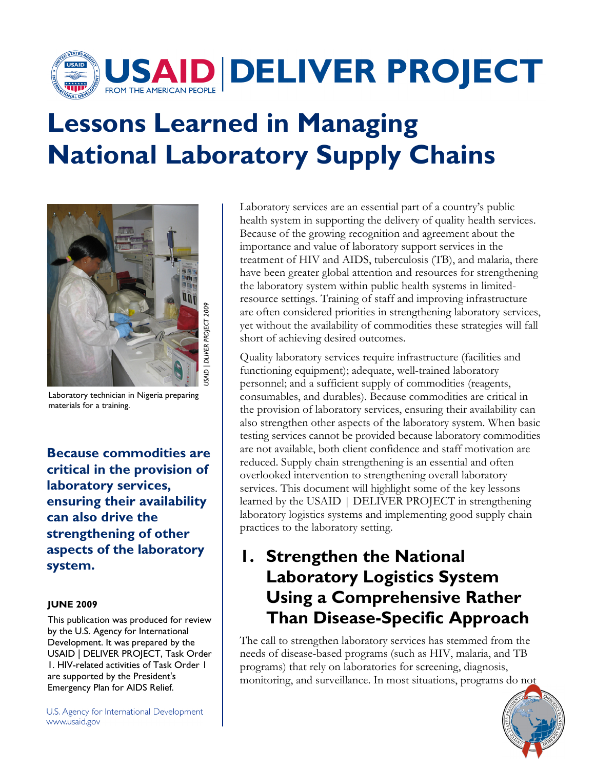

# **Lessons Learned in Managing National Laboratory Supply Chains**



Laboratory technician in Nigeria preparing materials for a training.

**Because commodities are critical in the provision of laboratory services, ensuring their availability can also drive the strengthening of other aspects of the laboratory system.** 

#### **JUNE 2009**

This publication was produced for review by the U.S. Agency for International Development. It was prepared by the USAID | DELIVER PROJECT, Task Order 1. HIV-related activities of Task Order 1 are supported by the President's Emergency Plan for AIDS Relief.

U.S. Agency for International Development www.usaid.gov

Laboratory services are an essential part of a country's public health system in supporting the delivery of quality health services. Because of the growing recognition and agreement about the importance and value of laboratory support services in the treatment of HIV and AIDS, tuberculosis (TB), and malaria, there have been greater global attention and resources for strengthening the laboratory system within public health systems in limitedresource settings. Training of staff and improving infrastructure are often considered priorities in strengthening laboratory services, yet without the availability of commodities these strategies will fall short of achieving desired outcomes.

Quality laboratory services require infrastructure (facilities and functioning equipment); adequate, well-trained laboratory personnel; and a sufficient supply of commodities (reagents, consumables, and durables). Because commodities are critical in the provision of laboratory services, ensuring their availability can also strengthen other aspects of the laboratory system. When basic testing services cannot be provided because laboratory commodities are not available, both client confidence and staff motivation are reduced. Supply chain strengthening is an essential and often overlooked intervention to strengthening overall laboratory services. This document will highlight some of the key lessons learned by the USAID | DELIVER PROJECT in strengthening laboratory logistics systems and implementing good supply chain practices to the laboratory setting.

### **1. Strengthen the National Laboratory Logistics System Using a Comprehensive Rather Than Disease-Specific Approach**

The call to strengthen laboratory services has stemmed from the needs of disease-based programs (such as HIV, malaria, and TB programs) that rely on laboratories for screening, diagnosis, monitoring, and surveillance. In most situations, programs do not

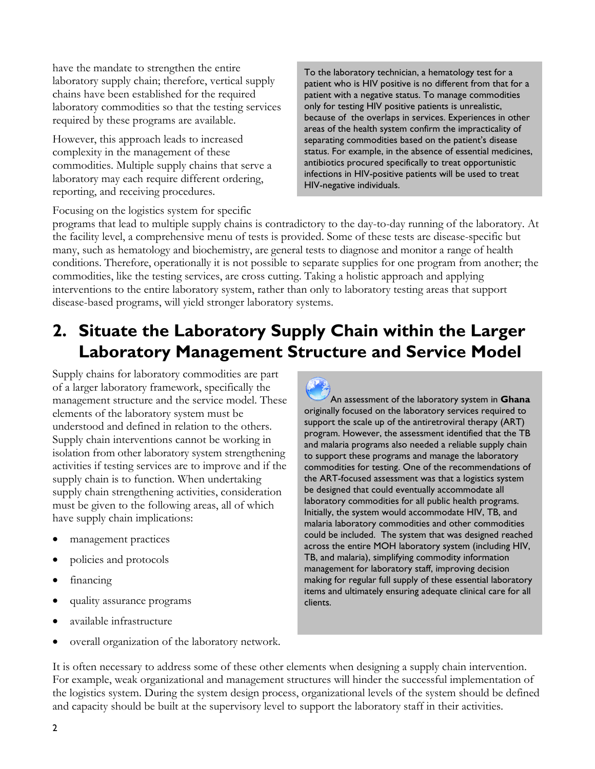have the mandate to strengthen the entire laboratory supply chain; therefore, vertical supply chains have been established for the required laboratory commodities so that the testing services required by these programs are available.

However, this approach leads to increased complexity in the management of these commodities. Multiple supply chains that serve a laboratory may each require different ordering, reporting, and receiving procedures.

To the laboratory technician, a hematology test for a patient who is HIV positive is no different from that for a patient with a negative status. To manage commodities only for testing HIV positive patients is unrealistic, because of the overlaps in services. Experiences in other areas of the health system confirm the impracticality of separating commodities based on the patient's disease status. For example, in the absence of essential medicines, antibiotics procured specifically to treat opportunistic infections in HIV-positive patients will be used to treat HIV-negative individuals.

Focusing on the logistics system for specific

programs that lead to multiple supply chains is contradictory to the day-to-day running of the laboratory. At the facility level, a comprehensive menu of tests is provided. Some of these tests are disease-specific but many, such as hematology and biochemistry, are general tests to diagnose and monitor a range of health conditions. Therefore, operationally it is not possible to separate supplies for one program from another; the commodities, like the testing services, are cross cutting. Taking a holistic approach and applying interventions to the entire laboratory system, rather than only to laboratory testing areas that support disease-based programs, will yield stronger laboratory systems.

## **2. Situate the Laboratory Supply Chain within the Larger Laboratory Management Structure and Service Model**

Supply chains for laboratory commodities are part of a larger laboratory framework, specifically the management structure and the service model. These elements of the laboratory system must be understood and defined in relation to the others. Supply chain interventions cannot be working in isolation from other laboratory system strengthening activities if testing services are to improve and if the supply chain is to function. When undertaking supply chain strengthening activities, consideration must be given to the following areas, all of which have supply chain implications:

overall organization of the laboratory network.

- management practices
- policies and protocols
- financing
- quality assurance programs
- available infrastructure

An assessment of the laboratory system in **Ghana** originally focused on the laboratory services required to support the scale up of the antiretroviral therapy (ART) program. However, the assessment identified that the TB and malaria programs also needed a reliable supply chain to support these programs and manage the laboratory commodities for testing. One of the recommendations of the ART-focused assessment was that a logistics system be designed that could eventually accommodate all laboratory commodities for all public health programs. Initially, the system would accommodate HIV, TB, and malaria laboratory commodities and other commodities could be included. The system that was designed reached across the entire MOH laboratory system (including HIV, TB, and malaria), simplifying commodity information management for laboratory staff, improving decision making for regular full supply of these essential laboratory items and ultimately ensuring adequate clinical care for all clients.

It is often necessary to address some of these other elements when designing a supply chain intervention. For example, weak organizational and management structures will hinder the successful implementation of the logistics system. During the system design process, organizational levels of the system should be defined and capacity should be built at the supervisory level to support the laboratory staff in their activities.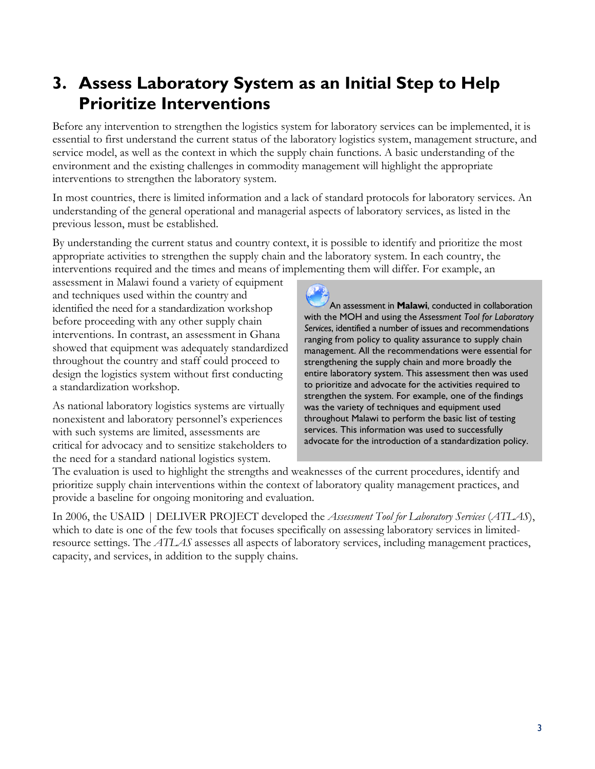### **3. Assess Laboratory System as an Initial Step to Help Prioritize Interventions**

Before any intervention to strengthen the logistics system for laboratory services can be implemented, it is essential to first understand the current status of the laboratory logistics system, management structure, and service model, as well as the context in which the supply chain functions. A basic understanding of the environment and the existing challenges in commodity management will highlight the appropriate interventions to strengthen the laboratory system.

In most countries, there is limited information and a lack of standard protocols for laboratory services. An understanding of the general operational and managerial aspects of laboratory services, as listed in the previous lesson, must be established.

By understanding the current status and country context, it is possible to identify and prioritize the most appropriate activities to strengthen the supply chain and the laboratory system. In each country, the interventions required and the times and means of implementing them will differ. For example, an

assessment in Malawi found a variety of equipment and techniques used within the country and identified the need for a standardization workshop before proceeding with any other supply chain interventions. In contrast, an assessment in Ghana showed that equipment was adequately standardized throughout the country and staff could proceed to design the logistics system without first conducting a standardization workshop.

As national laboratory logistics systems are virtually nonexistent and laboratory personnel's experiences with such systems are limited, assessments are critical for advocacy and to sensitize stakeholders to the need for a standard national logistics system.

An assessment in **Malawi**, conducted in collaboration with the MOH and using the *Assessment Tool for Laboratory Services*, identified a number of issues and recommendations ranging from policy to quality assurance to supply chain management. All the recommendations were essential for strengthening the supply chain and more broadly the entire laboratory system. This assessment then was used to prioritize and advocate for the activities required to strengthen the system. For example, one of the findings was the variety of techniques and equipment used throughout Malawi to perform the basic list of testing services. This information was used to successfully advocate for the introduction of a standardization policy.

The evaluation is used to highlight the strengths and weaknesses of the current procedures, identify and prioritize supply chain interventions within the context of laboratory quality management practices, and provide a baseline for ongoing monitoring and evaluation.

In 2006, the USAID | DELIVER PROJECT developed the *Assessment Tool for Laboratory Services* (*ATLAS*), which to date is one of the few tools that focuses specifically on assessing laboratory services in limitedresource settings. The *ATLAS* assesses all aspects of laboratory services, including management practices, capacity, and services, in addition to the supply chains.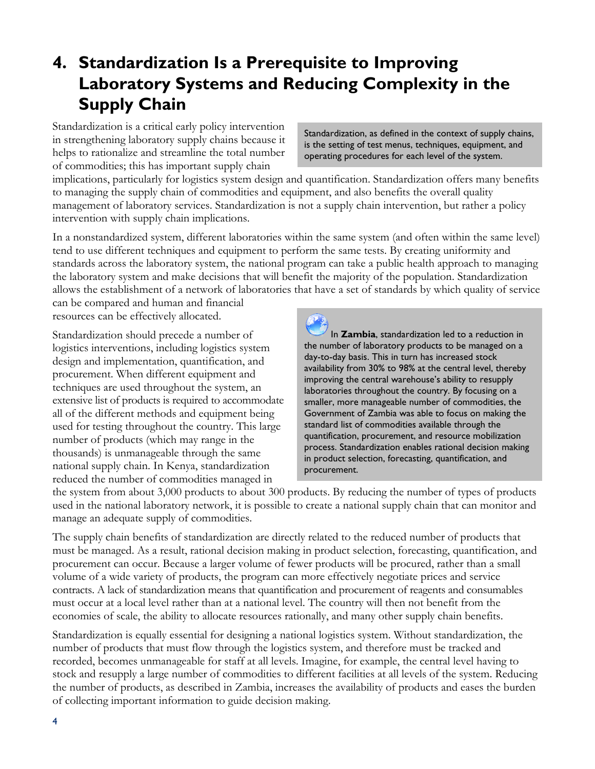### **4. Standardization Is a Prerequisite to Improving Laboratory Systems and Reducing Complexity in the Supply Chain**

Standardization is a critical early policy intervention in strengthening laboratory supply chains because it helps to rationalize and streamline the total number of commodities; this has important supply chain

Standardization, as defined in the context of supply chains, is the setting of test menus, techniques, equipment, and operating procedures for each level of the system.

implications, particularly for logistics system design and quantification. Standardization offers many benefits to managing the supply chain of commodities and equipment, and also benefits the overall quality management of laboratory services. Standardization is not a supply chain intervention, but rather a policy intervention with supply chain implications.

In a nonstandardized system, different laboratories within the same system (and often within the same level) tend to use different techniques and equipment to perform the same tests. By creating uniformity and standards across the laboratory system, the national program can take a public health approach to managing the laboratory system and make decisions that will benefit the majority of the population. Standardization allows the establishment of a network of laboratories that have a set of standards by which quality of service can be compared and human and financial

resources can be effectively allocated.

Standardization should precede a number of logistics interventions, including logistics system design and implementation, quantification, and procurement. When different equipment and techniques are used throughout the system, an extensive list of products is required to accommodate all of the different methods and equipment being used for testing throughout the country. This large number of products (which may range in the thousands) is unmanageable through the same national supply chain. In Kenya, standardization reduced the number of commodities managed in



In **Zambia**, standardization led to a reduction in the number of laboratory products to be managed on a day-to-day basis. This in turn has increased stock availability from 30% to 98% at the central level, thereby improving the central warehouse's ability to resupply laboratories throughout the country. By focusing on a smaller, more manageable number of commodities, the Government of Zambia was able to focus on making the standard list of commodities available through the quantification, procurement, and resource mobilization process. Standardization enables rational decision making in product selection, forecasting, quantification, and procurement.

the system from about 3,000 products to about 300 products. By reducing the number of types of products used in the national laboratory network, it is possible to create a national supply chain that can monitor and manage an adequate supply of commodities.

The supply chain benefits of standardization are directly related to the reduced number of products that must be managed. As a result, rational decision making in product selection, forecasting, quantification, and procurement can occur. Because a larger volume of fewer products will be procured, rather than a small volume of a wide variety of products, the program can more effectively negotiate prices and service contracts. A lack of standardization means that quantification and procurement of reagents and consumables must occur at a local level rather than at a national level. The country will then not benefit from the economies of scale, the ability to allocate resources rationally, and many other supply chain benefits.

Standardization is equally essential for designing a national logistics system. Without standardization, the number of products that must flow through the logistics system, and therefore must be tracked and recorded, becomes unmanageable for staff at all levels. Imagine, for example, the central level having to stock and resupply a large number of commodities to different facilities at all levels of the system. Reducing the number of products, as described in Zambia, increases the availability of products and eases the burden of collecting important information to guide decision making.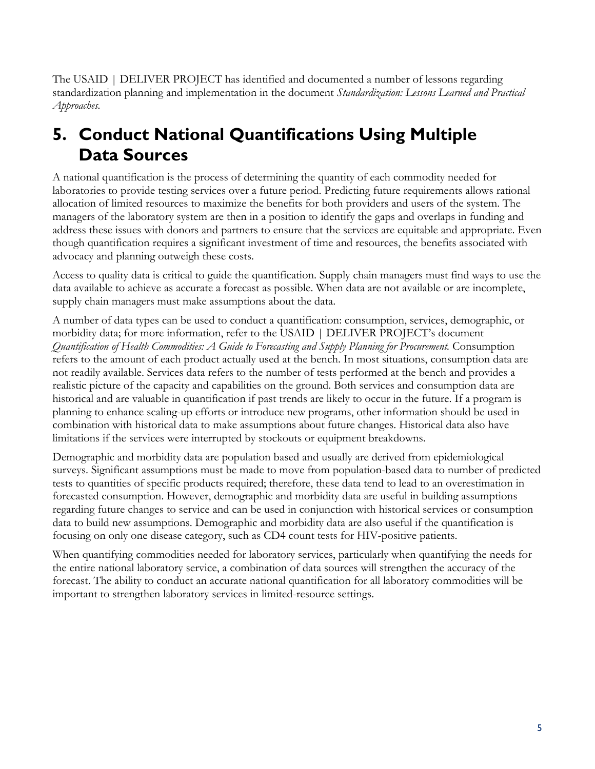The USAID | DELIVER PROJECT has identified and documented a number of lessons regarding standardization planning and implementation in the document *Standardization: Lessons Learned and Practical Approaches.*

## **5. Conduct National Quantifications Using Multiple Data Sources**

A national quantification is the process of determining the quantity of each commodity needed for laboratories to provide testing services over a future period. Predicting future requirements allows rational allocation of limited resources to maximize the benefits for both providers and users of the system. The managers of the laboratory system are then in a position to identify the gaps and overlaps in funding and address these issues with donors and partners to ensure that the services are equitable and appropriate. Even though quantification requires a significant investment of time and resources, the benefits associated with advocacy and planning outweigh these costs.

Access to quality data is critical to guide the quantification. Supply chain managers must find ways to use the data available to achieve as accurate a forecast as possible. When data are not available or are incomplete, supply chain managers must make assumptions about the data.

A number of data types can be used to conduct a quantification: consumption, services, demographic, or morbidity data; for more information, refer to the USAID | DELIVER PROJECT's document *Quantification of Health Commodities: A Guide to Forecasting and Supply Planning for Procurement.* Consumption refers to the amount of each product actually used at the bench. In most situations, consumption data are not readily available. Services data refers to the number of tests performed at the bench and provides a realistic picture of the capacity and capabilities on the ground. Both services and consumption data are historical and are valuable in quantification if past trends are likely to occur in the future. If a program is planning to enhance scaling-up efforts or introduce new programs, other information should be used in combination with historical data to make assumptions about future changes. Historical data also have limitations if the services were interrupted by stockouts or equipment breakdowns.

Demographic and morbidity data are population based and usually are derived from epidemiological surveys. Significant assumptions must be made to move from population-based data to number of predicted tests to quantities of specific products required; therefore, these data tend to lead to an overestimation in forecasted consumption. However, demographic and morbidity data are useful in building assumptions regarding future changes to service and can be used in conjunction with historical services or consumption data to build new assumptions. Demographic and morbidity data are also useful if the quantification is focusing on only one disease category, such as CD4 count tests for HIV-positive patients.

When quantifying commodities needed for laboratory services, particularly when quantifying the needs for the entire national laboratory service, a combination of data sources will strengthen the accuracy of the forecast. The ability to conduct an accurate national quantification for all laboratory commodities will be important to strengthen laboratory services in limited-resource settings.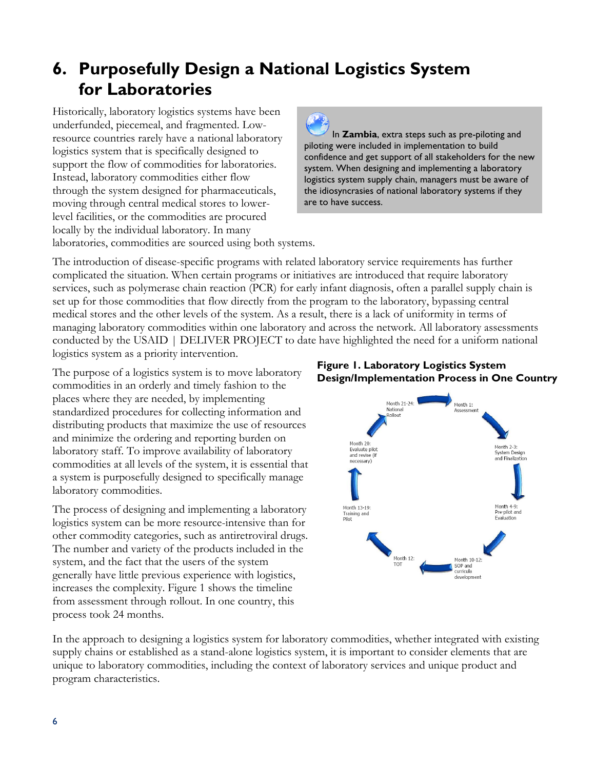#### **6. Purposefully Design a National Logistics System for Laboratories**

Historically, laboratory logistics systems have been underfunded, piecemeal, and fragmented. Lowresource countries rarely have a national laboratory logistics system that is specifically designed to support the flow of commodities for laboratories. Instead, laboratory commodities either flow through the system designed for pharmaceuticals, moving through central medical stores to lowerlevel facilities, or the commodities are procured locally by the individual laboratory. In many laboratories, commodities are sourced using both systems.

In **Zambia**, extra steps such as pre-piloting and piloting were included in implementation to build confidence and get support of all stakeholders for the new system. When designing and implementing a laboratory logistics system supply chain, managers must be aware of the idiosyncrasies of national laboratory systems if they are to have success.

The introduction of disease-specific programs with related laboratory service requirements has further complicated the situation. When certain programs or initiatives are introduced that require laboratory services, such as polymerase chain reaction (PCR) for early infant diagnosis, often a parallel supply chain is set up for those commodities that flow directly from the program to the laboratory, bypassing central medical stores and the other levels of the system. As a result, there is a lack of uniformity in terms of managing laboratory commodities within one laboratory and across the network. All laboratory assessments conducted by the USAID | DELIVER PROJECT to date have highlighted the need for a uniform national logistics system as a priority intervention.

The purpose of a logistics system is to move laboratory commodities in an orderly and timely fashion to the places where they are needed, by implementing standardized procedures for collecting information and distributing products that maximize the use of resources and minimize the ordering and reporting burden on laboratory staff. To improve availability of laboratory commodities at all levels of the system, it is essential that a system is purposefully designed to specifically manage laboratory commodities.

The process of designing and implementing a laboratory logistics system can be more resource-intensive than for other commodity categories, such as antiretroviral drugs. The number and variety of the products included in the system, and the fact that the users of the system generally have little previous experience with logistics, increases the complexity. Figure 1 shows the timeline from assessment through rollout. In one country, this process took 24 months.

#### **Figure 1. Laboratory Logistics System Design/Implementation Process in One Country**



In the approach to designing a logistics system for laboratory commodities, whether integrated with existing supply chains or established as a stand-alone logistics system, it is important to consider elements that are unique to laboratory commodities, including the context of laboratory services and unique product and program characteristics.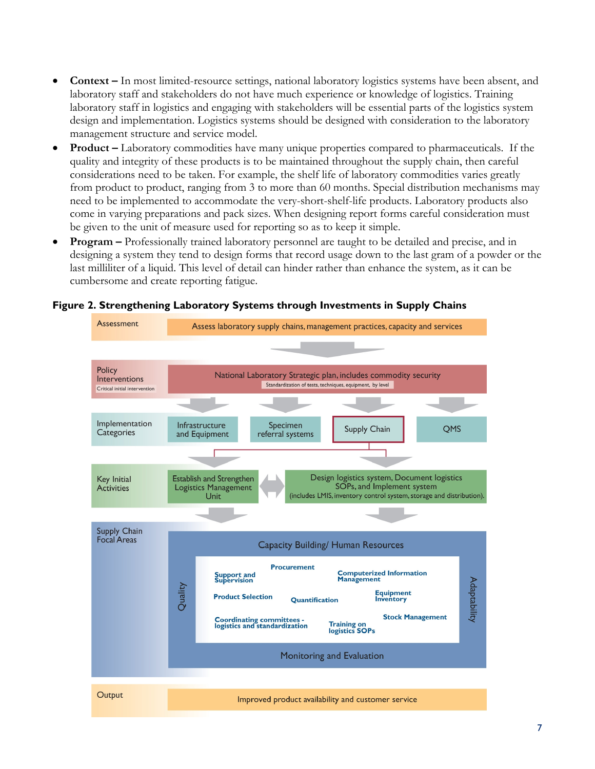- **Context** In most limited-resource settings, national laboratory logistics systems have been absent, and laboratory staff and stakeholders do not have much experience or knowledge of logistics. Training laboratory staff in logistics and engaging with stakeholders will be essential parts of the logistics system design and implementation. Logistics systems should be designed with consideration to the laboratory management structure and service model.
- **Product** Laboratory commodities have many unique properties compared to pharmaceuticals. If the quality and integrity of these products is to be maintained throughout the supply chain, then careful considerations need to be taken. For example, the shelf life of laboratory commodities varies greatly from product to product, ranging from 3 to more than 60 months. Special distribution mechanisms may need to be implemented to accommodate the very-short-shelf-life products. Laboratory products also come in varying preparations and pack sizes. When designing report forms careful consideration must be given to the unit of measure used for reporting so as to keep it simple.
- **Program** Professionally trained laboratory personnel are taught to be detailed and precise, and in designing a system they tend to design forms that record usage down to the last gram of a powder or the last milliliter of a liquid. This level of detail can hinder rather than enhance the system, as it can be cumbersome and create reporting fatigue.



#### **Figure 2. Strengthening Laboratory Systems through Investments in Supply Chains**